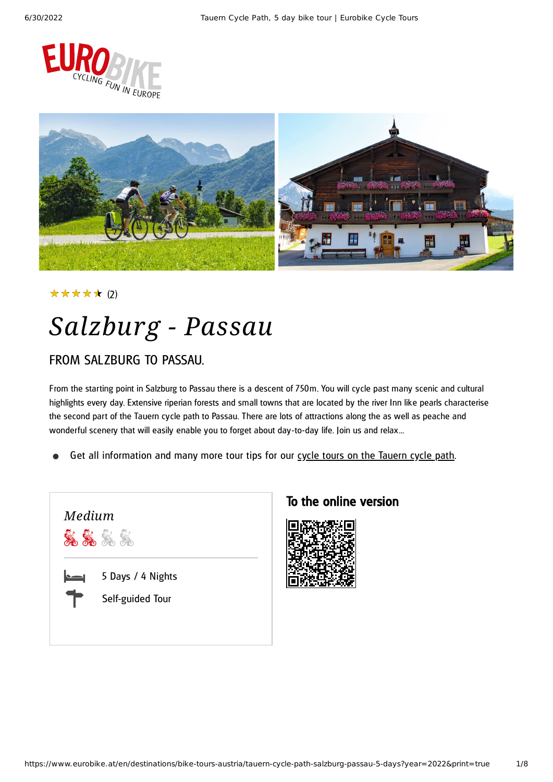



(2) ★★★★★

# *Salzburg - Passau*

### FROM SAL ZBURG TO PASSAU.

From the starting point in Salzburg to Passau there is a descent of 750m. You will cycle past many scenic and cultural highlights every day. Extensive riperian forests and small towns that are located by the river Inn like pearls characterise the second part of the Tauern cycle path to Passau. There are lots of attractions along the as well as peache and wonderful scenery that will easily enable you to forget about day-to-day life. Join us and relax...

Get all information and many more tour tips for our cycle tours on the [Tauern](https://www.eurobike.at/en/cycle-paths/tauern-cycle-path) cycle path.



### To the online version

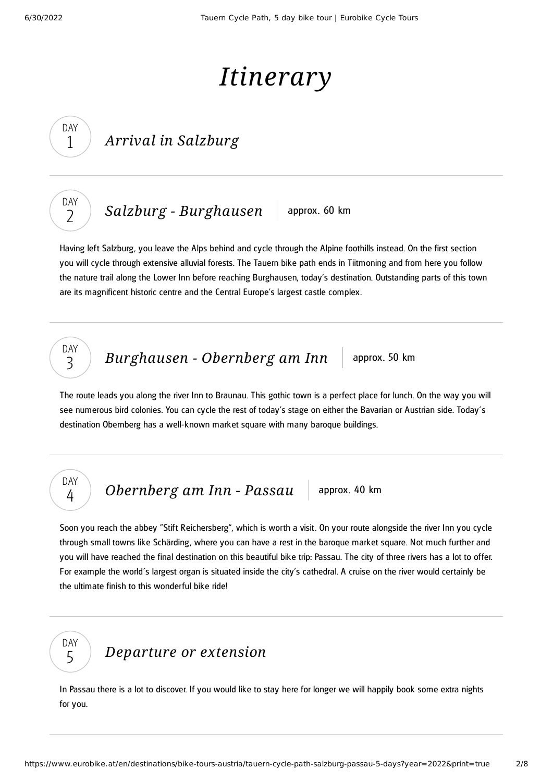## *Itinerary*

### *Arrival in Salzburg*

DAY  $\overline{\phantom{0}}$ 

DAY 1

*Salzburg* - *[Burghausen](#page-1-0)* approx. 60 km

<span id="page-1-0"></span>Having left Salzburg, you leave the Alps behind and cycle through the Alpine foothills instead. On the first section you will cycle through extensive alluvial forests. The Tauern bike path ends in Tiitmoning and from here you follow the nature trail along the Lower Inn before reaching Burghausen, today's destination. Outstanding parts of this town are its magnificent historic centre and the Central Europe's largest castle complex.

### DAY 3

*[Burghausen](#page-1-1) - Obernberg am Inn* approx. 50 km

<span id="page-1-1"></span>The route leads you along the river Inn to Braunau. This gothic town is a perfect place for lunch. On the way you will see numerous bird colonies. You can cycle the rest of today's stage on either the Bavarian or Austrian side. Today´s destination Obernberg has a well-known market square with many baroque buildings.

### DAY 4

*[Obernberg](#page-1-2) am Inn - Passau* approx. 40 km

<span id="page-1-2"></span>Soon you reach the abbey "Stift Reichersberg", which is worth a visit. On your route alongside the river Inn you cycle through small towns like Schärding, where you can have a rest in the baroque market square. Not much further and you will have reached the final destination on this beautiful bike trip: Passau. The city of three rivers has a lot to offer. For example the world´s largest organ is situated inside the city's cathedral. A cruise on the river would certainly be the ultimate finish to this wonderful bike ride!



### *[Departure](#page-1-3) or extension*

<span id="page-1-3"></span>In Passau there is a lot to discover. If you would like to stay here for longer we will happily book some extra nights for you.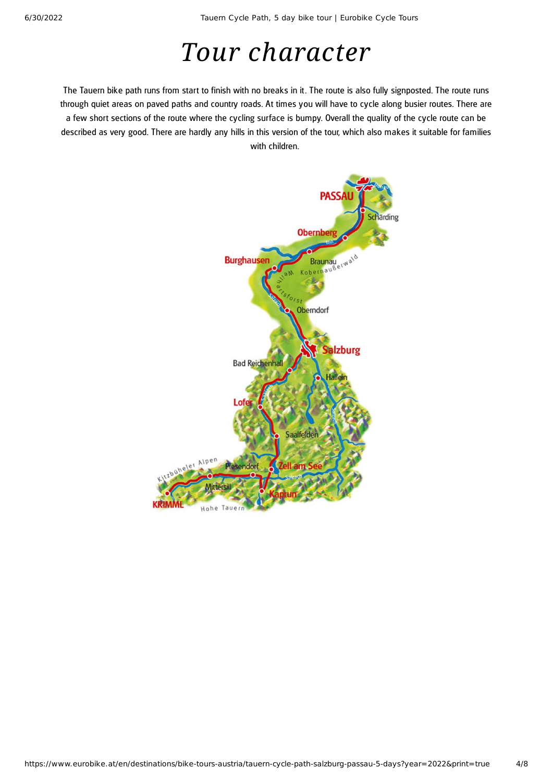## *Tour character*

The Tauern bike path runs from start to finish with no breaks in it. The route is also fully signposted. The route runs through quiet areas on paved paths and country roads. At times you will have to cycle along busier routes. There are a few short sections of the route where the cycling surface is bumpy. Overall the quality of the cycle route can be described as very good. There are hardly any hills in this version of the tour, which also makes it suitable for families with children.

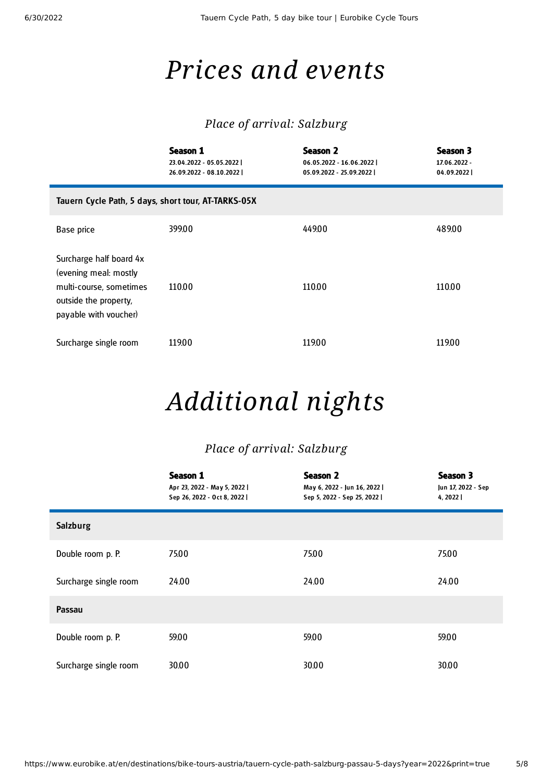## *Prices and events*

### *Place of arrival: Salzburg*

|                                                                                                                               | Season 1<br>23.04.2022 - 05.05.2022  <br>26.09.2022 - 08.10.2022 | <b>Season 2</b><br>06.05.2022 - 16.06.2022  <br>05.09.2022 - 25.09.2022 | Season 3<br>17.06.2022 -<br>04.09.2022 |  |  |
|-------------------------------------------------------------------------------------------------------------------------------|------------------------------------------------------------------|-------------------------------------------------------------------------|----------------------------------------|--|--|
| Tauern Cycle Path, 5 days, short tour, AT-TARKS-05X                                                                           |                                                                  |                                                                         |                                        |  |  |
| Base price                                                                                                                    | 399.00                                                           | 449.00                                                                  | 489.00                                 |  |  |
| Surcharge half board 4x<br>(evening meal: mostly<br>multi-course, sometimes<br>outside the property,<br>payable with voucher) | 110.00                                                           | 110.00                                                                  | 110.00                                 |  |  |
| Surcharge single room                                                                                                         | 119.00                                                           | 119.00                                                                  | 119.00                                 |  |  |

## *Additional nights*

### *Place of arrival: Salzburg*

|                       | Season 1<br>Apr 23, 2022 - May 5, 2022  <br>Sep 26, 2022 - Oct 8, 2022 | <b>Season 2</b><br>May 6, 2022 - Jun 16, 2022  <br>Sep 5, 2022 - Sep 25, 2022 | Season 3<br>Jun 17, 2022 - Sep<br>4, 2022 |
|-----------------------|------------------------------------------------------------------------|-------------------------------------------------------------------------------|-------------------------------------------|
| <b>Salzburg</b>       |                                                                        |                                                                               |                                           |
| Double room p. P.     | 75.00                                                                  | 75.00                                                                         | 75.00                                     |
| Surcharge single room | 24.00                                                                  | 24.00                                                                         | 24.00                                     |
| Passau                |                                                                        |                                                                               |                                           |
| Double room p. P.     | 59.00                                                                  | 59.00                                                                         | 59.00                                     |
| Surcharge single room | 30.00                                                                  | 30.00                                                                         | 30.00                                     |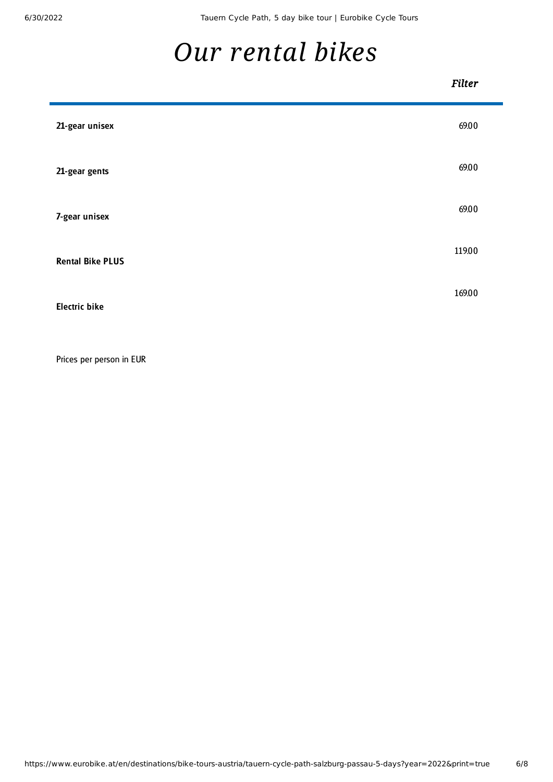<span id="page-5-0"></span>Ē

## *Our [rental](#page-5-0) bikes*

#### *Filter*

| 21-gear unisex          | 69.00  |
|-------------------------|--------|
| 21-gear gents           | 69.00  |
| 7-gear unisex           | 69.00  |
| <b>Rental Bike PLUS</b> | 119.00 |
| <b>Electric bike</b>    | 169.00 |

Prices per person in EUR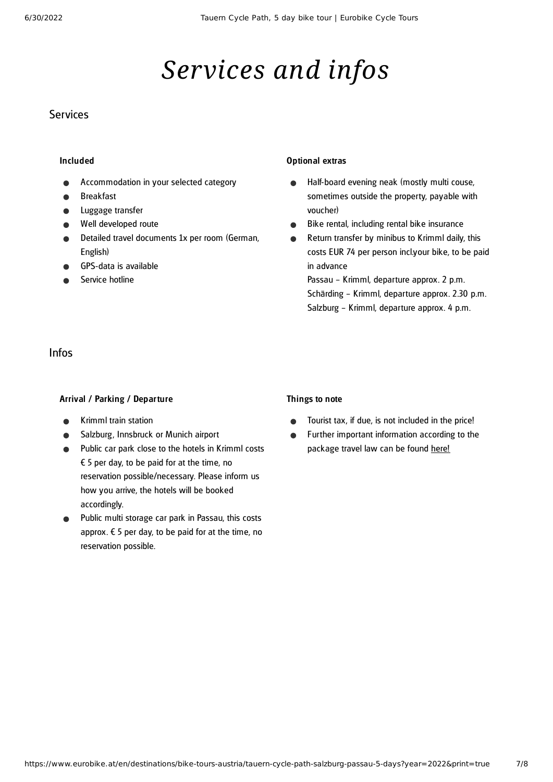## *Services and infos*

#### **Services**

#### Included

- Accommodation in your selected category
- Breakfast
- Luggage transfer
- Well developed route
- Detailed travel documents 1x per room (German, English)
- GPS-data is available
- Service hotline

#### Optional extras

- Half-board evening neak (mostly multi couse,  $\bullet$ sometimes outside the property, payable with voucher)
- Bike rental, including rental bike insurance  $\bullet$
- Return transfer by minibus to Krimml daily, this  $\bullet$ costs EUR 74 per person incl.your bike, to be paid in advance

Passau – Krimml, departure approx. 2 p.m. Schärding – Krimml, departure approx. 2.30 p.m. Salzburg – Krimml, departure approx. 4 p.m.

#### Infos

#### Arrival / Parking / Departure

- Krimml train station
- Salzburg, Innsbruck or Munich airport
- Public car park close to the hotels in Krimml costs  $\epsilon$  5 per day, to be paid for at the time, no reservation possible/necessary. Please inform us how you arrive, the hotels will be booked accordingly.
- Public multi storage car park in Passau, this costs approx.  $\epsilon$  5 per day, to be paid for at the time, no reservation possible.

#### Things to note

- Tourist tax, if due, is not included in the price!  $\bullet$
- Further important information according to the  $\bullet$ package travel law can be found [here](https://www.eurobike.at/en/travel-information/before-the-tour/pci)!